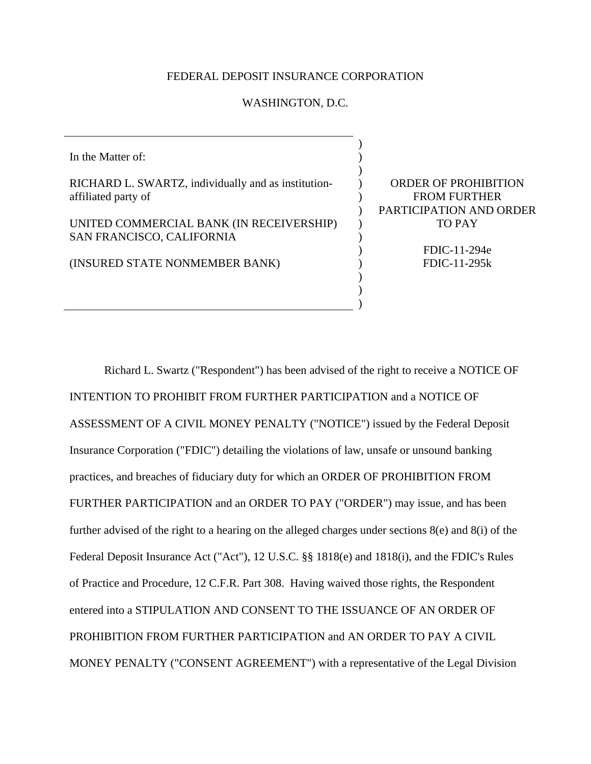## FEDERAL DEPOSIT INSURANCE CORPORATION

## WASHINGTON, D.C.

In the Matter of: RICHARD L. SWARTZ, individually and as institutionaffiliated party of UNITED COMMERCIAL BANK (IN RECEIVERSHIP) SAN FRANCISCO, CALIFORNIA (INSURED STATE NONMEMBER BANK) ) ) )  $\mathcal{L}$  $\lambda$  $\mathcal{L}$  $\mathcal{L}$  $\mathcal{L}$ ) ) ) )

ORDER OF PROHIBITION FROM FURTHER PARTICIPATION AND ORDER TO PAY

> FDIC-11-294e FDIC-11-295k

)

Richard L. Swartz ("Respondent") has been advised of the right to receive a NOTICE OF INTENTION TO PROHIBIT FROM FURTHER PARTICIPATION and a NOTICE OF ASSESSMENT OF A CIVIL MONEY PENALTY ("NOTICE") issued by the Federal Deposit Insurance Corporation ("FDIC") detailing the violations of law, unsafe or unsound banking practices, and breaches of fiduciary duty for which an ORDER OF PROHIBITION FROM FURTHER PARTICIPATION and an ORDER TO PAY ("ORDER") may issue, and has been further advised of the right to a hearing on the alleged charges under sections 8(e) and 8(i) of the Federal Deposit Insurance Act ("Act"), 12 U.S.C. §§ 1818(e) and 1818(i), and the FDIC's Rules of Practice and Procedure, 12 C.F.R. Part 308. Having waived those rights, the Respondent entered into a STIPULATION AND CONSENT TO THE ISSUANCE OF AN ORDER OF PROHIBITION FROM FURTHER PARTICIPATION and AN ORDER TO PAY A CIVIL MONEY PENALTY ("CONSENT AGREEMENT") with a representative of the Legal Division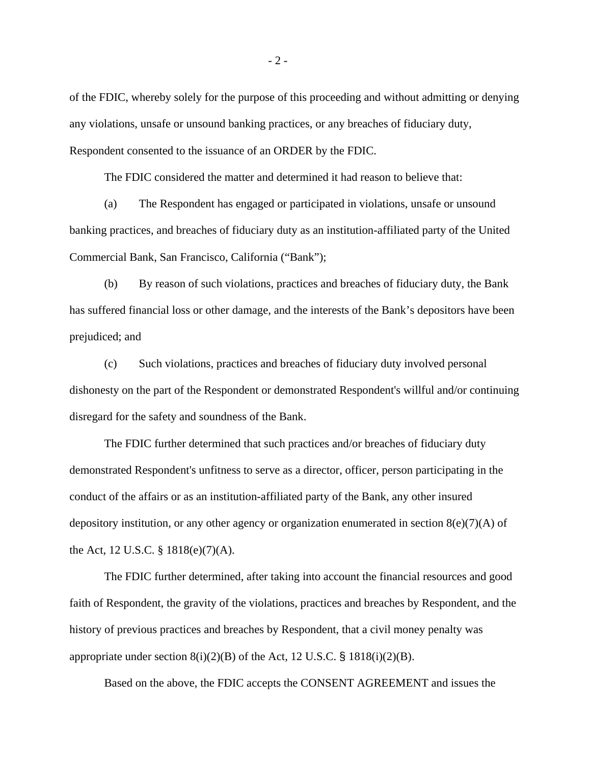of the FDIC, whereby solely for the purpose of this proceeding and without admitting or denying any violations, unsafe or unsound banking practices, or any breaches of fiduciary duty, Respondent consented to the issuance of an ORDER by the FDIC.

The FDIC considered the matter and determined it had reason to believe that:

 (a) The Respondent has engaged or participated in violations, unsafe or unsound banking practices, and breaches of fiduciary duty as an institution-affiliated party of the United Commercial Bank, San Francisco, California ("Bank");

(b) By reason of such violations, practices and breaches of fiduciary duty, the Bank has suffered financial loss or other damage, and the interests of the Bank's depositors have been prejudiced; and

(c) Such violations, practices and breaches of fiduciary duty involved personal dishonesty on the part of the Respondent or demonstrated Respondent's willful and/or continuing disregard for the safety and soundness of the Bank.

The FDIC further determined that such practices and/or breaches of fiduciary duty demonstrated Respondent's unfitness to serve as a director, officer, person participating in the conduct of the affairs or as an institution-affiliated party of the Bank, any other insured depository institution, or any other agency or organization enumerated in section  $8(e)(7)(A)$  of the Act, 12 U.S.C. § 1818(e)(7)(A).

The FDIC further determined, after taking into account the financial resources and good faith of Respondent, the gravity of the violations, practices and breaches by Respondent, and the history of previous practices and breaches by Respondent, that a civil money penalty was appropriate under section  $8(i)(2)(B)$  of the Act, 12 U.S.C. § 1818(i)(2)(B).

Based on the above, the FDIC accepts the CONSENT AGREEMENT and issues the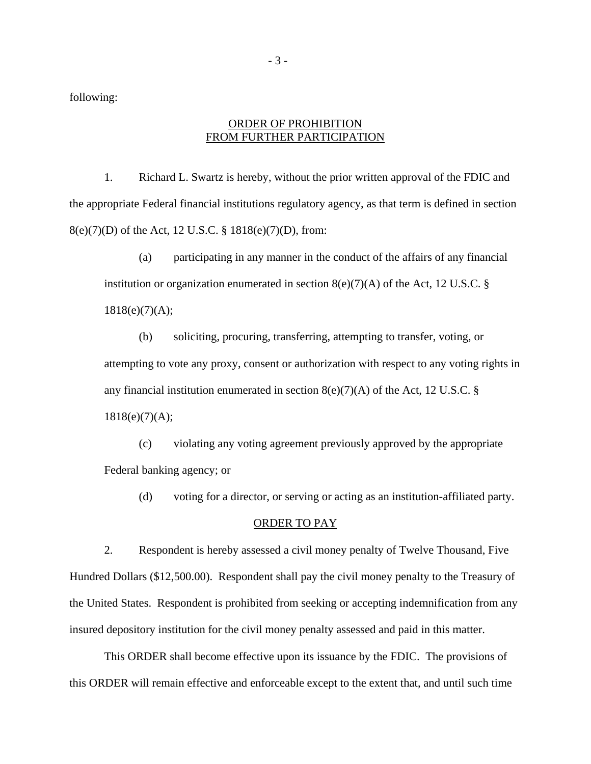following:

## ORDER OF PROHIBITION FROM FURTHER PARTICIPATION

1. Richard L. Swartz is hereby, without the prior written approval of the FDIC and the appropriate Federal financial institutions regulatory agency, as that term is defined in section 8(e)(7)(D) of the Act, 12 U.S.C. § 1818(e)(7)(D), from:

(a) participating in any manner in the conduct of the affairs of any financial institution or organization enumerated in section  $8(e)(7)(A)$  of the Act, 12 U.S.C. §  $1818(e)(7)(A);$ 

(b) soliciting, procuring, transferring, attempting to transfer, voting, or attempting to vote any proxy, consent or authorization with respect to any voting rights in any financial institution enumerated in section  $8(e)(7)(A)$  of the Act, 12 U.S.C. §  $1818(e)(7)(A);$ 

(c) violating any voting agreement previously approved by the appropriate Federal banking agency; or

(d) voting for a director, or serving or acting as an institution-affiliated party.

## ORDER TO PAY

2. Respondent is hereby assessed a civil money penalty of Twelve Thousand, Five Hundred Dollars (\$12,500.00). Respondent shall pay the civil money penalty to the Treasury of the United States. Respondent is prohibited from seeking or accepting indemnification from any insured depository institution for the civil money penalty assessed and paid in this matter.

This ORDER shall become effective upon its issuance by the FDIC. The provisions of this ORDER will remain effective and enforceable except to the extent that, and until such time